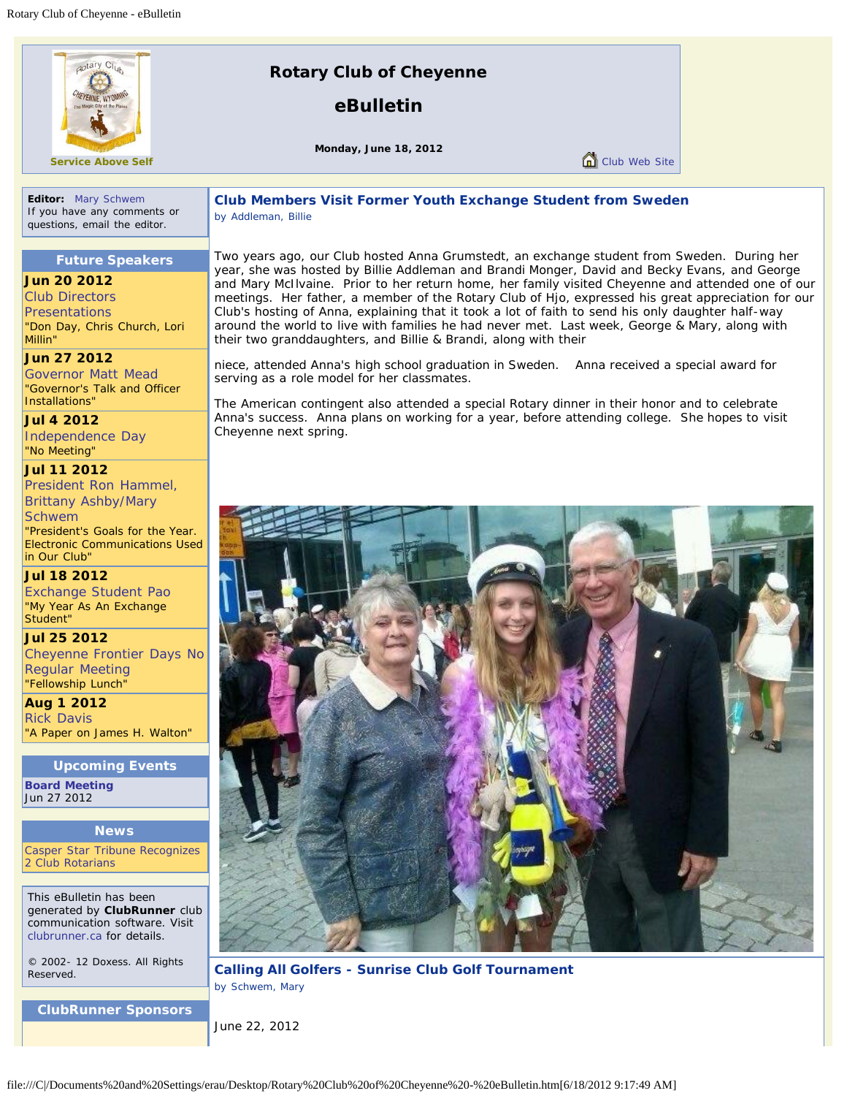

**Service Above Self**

# **Rotary Club of Cheyenne**

**eBulletin**

**Monday, June 18, 2012**

Club Web Site

**Editor:** [Mary Schwem](file:///C|/Documents%20and%20Settings/erau/includes/sendemail.asp?cid=5237&mid=391482&recp=Znel#Fpujrz) If you have any comments or questions, email the editor.

### **Club Members Visit Former Youth Exchange Student from Sweden** *by Addleman, Billie*

### **Future Speakers**

#### **Jun 20 2012**

[Club Directors](http://www.clubrunner.ca/CPrg/Home/speakers.asp?cid=5237) **[Presentations](http://www.clubrunner.ca/CPrg/Home/speakers.asp?cid=5237)** *"Don Day, Chris Church, Lori Millin"*

**Jun 27 2012** [Governor Matt Mead](http://www.clubrunner.ca/CPrg/Home/speakers.asp?cid=5237) *"Governor's Talk and Officer Installations"*

**Jul 4 2012** [Independence Day](http://www.clubrunner.ca/CPrg/Home/speakers.asp?cid=5237) *"No Meeting"*

**Jul 11 2012** [President Ron Hammel,](http://www.clubrunner.ca/CPrg/Home/speakers.asp?cid=5237) [Brittany Ashby/Mary](http://www.clubrunner.ca/CPrg/Home/speakers.asp?cid=5237) **[Schwem](http://www.clubrunner.ca/CPrg/Home/speakers.asp?cid=5237)** *"President's Goals for the Year. Electronic Communications Used*

*in Our Club"* **Jul 18 2012** [Exchange Student Pao](http://www.clubrunner.ca/CPrg/Home/speakers.asp?cid=5237) *"My Year As An Exchange Student"*

**Jul 25 2012** [Cheyenne Frontier Days No](http://www.clubrunner.ca/CPrg/Home/speakers.asp?cid=5237) [Regular Meeting](http://www.clubrunner.ca/CPrg/Home/speakers.asp?cid=5237) *"Fellowship Lunch"*

**Aug 1 2012** [Rick Davis](http://www.clubrunner.ca/CPrg/Home/speakers.asp?cid=5237) *"A Paper on James H. Walton"*

#### **Upcoming Events**

**[Board Meeting](http://www.clubrunner.ca/CPrg/home/eventitem.asp?cid=5237&iid=125372)** Jun 27 2012

#### **News**

[Casper Star Tribune Recognizes](http://www.clubrunner.ca/CPrg/home/newsitem.asp?cid=5237&iid=42341) [2 Club Rotarians](http://www.clubrunner.ca/CPrg/home/newsitem.asp?cid=5237&iid=42341)

This eBulletin has been generated by **ClubRunner** club communication software. Visit [clubrunner.ca](http://www.clubrunner.ca/) for details.

© 2002- 12 Doxess. All Rights Reserved.

**ClubRunner Sponsors**

Two years ago, our Club hosted Anna Grumstedt, an exchange student from Sweden. During her year, she was hosted by Billie Addleman and Brandi Monger, David and Becky Evans, and George and Mary McIlvaine. Prior to her return home, her family visited Cheyenne and attended one of our meetings. Her father, a member of the Rotary Club of Hjo, expressed his great appreciation for our Club's hosting of Anna, explaining that it took a lot of faith to send his only daughter half-way around the world to live with families he had never met. Last week, George & Mary, along with their two granddaughters, and Billie & Brandi, along with their

niece, attended Anna's high school graduation in Sweden. Anna received a special award for serving as a role model for her classmates.

The American contingent also attended a special Rotary dinner in their honor and to celebrate Anna's success. Anna plans on working for a year, before attending college. She hopes to visit Cheyenne next spring.



**Calling All Golfers - Sunrise Club Golf Tournament** *by Schwem, Mary*

June 22, 2012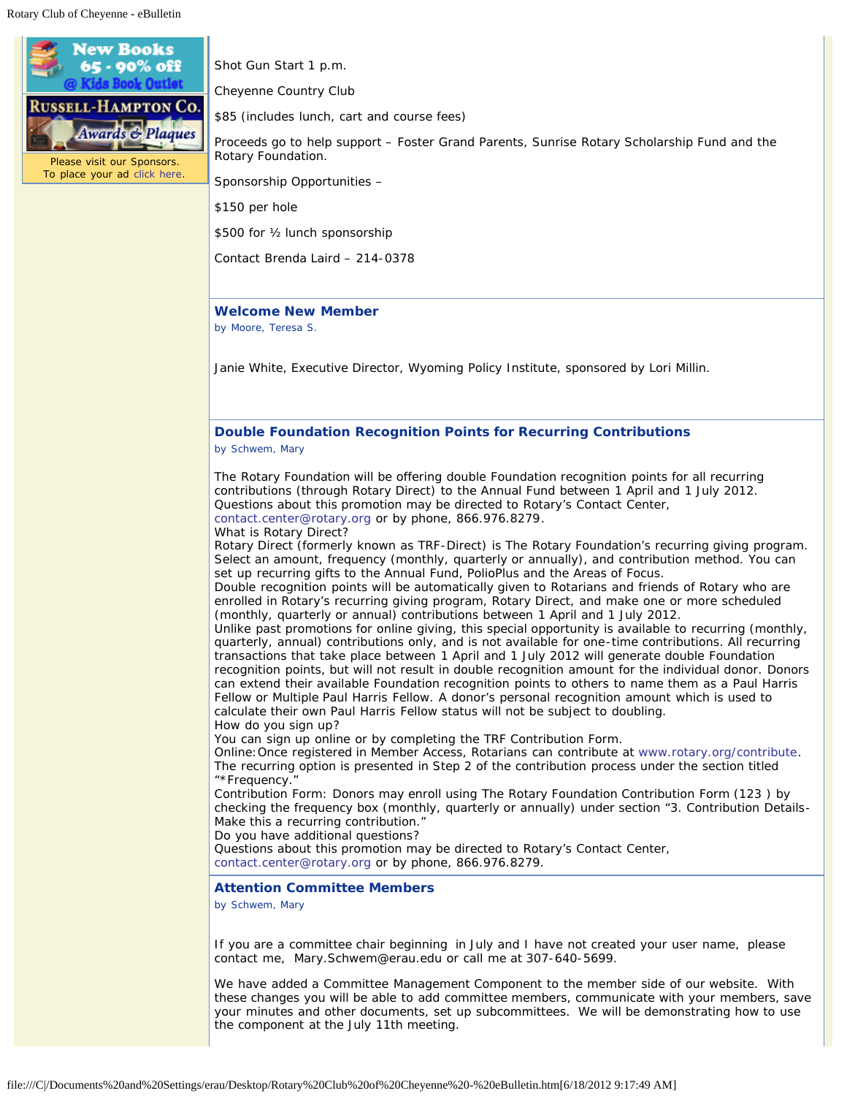

Shot Gun Start 1 p.m.

Cheyenne Country Club

\$85 (includes lunch, cart and course fees)

Proceeds go to help support – Foster Grand Parents, Sunrise Rotary Scholarship Fund and the Rotary Foundation.

Sponsorship Opportunities –

\$150 per hole

\$500 for ½ lunch sponsorship

Contact Brenda Laird – 214-0378

#### **Welcome New Member**

*by Moore, Teresa S.*

Janie White, Executive Director, Wyoming Policy Institute, sponsored by Lori Millin.

#### **Double Foundation Recognition Points for Recurring Contributions** *by Schwem, Mary*

The Rotary Foundation will be offering double Foundation recognition points for all recurring contributions (through Rotary Direct) to the Annual Fund between 1 April and 1 July 2012. Questions about this promotion may be directed to Rotary's Contact Center, [contact.center@rotary.org](mailto:contact.center@rotary.org) or by phone, 866.976.8279.

What is Rotary Direct?

Rotary Direct (formerly known as TRF-Direct) is The Rotary Foundation's recurring giving program. Select an amount, frequency (monthly, quarterly or annually), and contribution method. You can set up recurring gifts to the Annual Fund, PolioPlus and the Areas of Focus.

Double recognition points will be automatically given to Rotarians and friends of Rotary who are enrolled in Rotary's recurring giving program, Rotary Direct, and make one or more scheduled (monthly, quarterly or annual) contributions between 1 April and 1 July 2012.

Unlike past promotions for online giving, this special opportunity is available to recurring (monthly, quarterly, annual) contributions only, and is not available for one-time contributions. All recurring transactions that take place between 1 April and 1 July 2012 will generate double Foundation recognition points, but will not result in double recognition amount for the individual donor. Donors can extend their available Foundation recognition points to others to name them as a Paul Harris Fellow or Multiple Paul Harris Fellow. A donor's personal recognition amount which is used to calculate their own Paul Harris Fellow status will not be subject to doubling. How do you sign up?

You can sign up online or by completing the TRF Contribution Form.

Online:Once registered in Member Access, Rotarians can contribute at [www.rotary.org/contribute.](http://www.rotary.org/contribute) The recurring option is presented in Step 2 of the contribution process under the section titled "\*Frequency.

Contribution Form: Donors may enroll using The Rotary Foundation Contribution Form (123 ) by checking the frequency box (monthly, quarterly or annually) under section "3. Contribution Details-Make this a recurring contribution."

Do you have additional questions?

Questions about this promotion may be directed to Rotary's Contact Center,

[contact.center@rotary.org](mailto:contact.center@rotary.org) or by phone, 866.976.8279.

#### **Attention Committee Members**

*by Schwem, Mary*

If you are a committee chair beginning in July and I have not created your user name, please contact me, Mary.Schwem@erau.edu or call me at 307-640-5699.

We have added a Committee Management Component to the member side of our website. With these changes you will be able to add committee members, communicate with your members, save your minutes and other documents, set up subcommittees. We will be demonstrating how to use the component at the July 11th meeting.